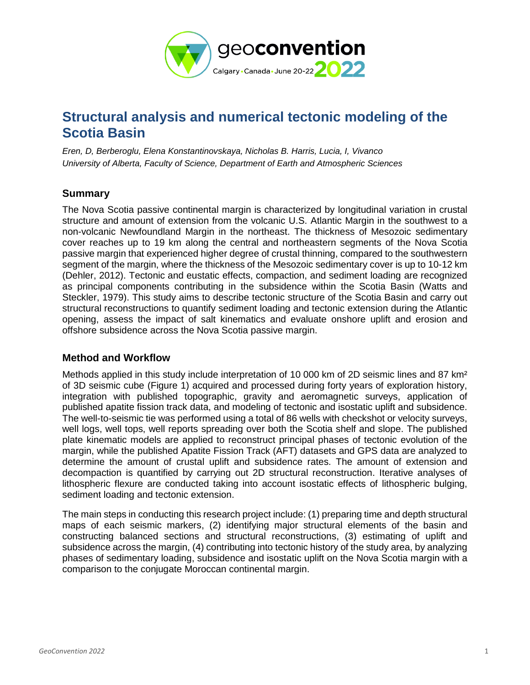

# **Structural analysis and numerical tectonic modeling of the Scotia Basin**

*Eren, D, Berberoglu, Elena Konstantinovskaya, Nicholas B. Harris, Lucia, I, Vivanco University of Alberta, Faculty of Science, Department of Earth and Atmospheric Sciences* 

# **Summary**

The Nova Scotia passive continental margin is characterized by longitudinal variation in crustal structure and amount of extension from the volcanic U.S. Atlantic Margin in the southwest to a non-volcanic Newfoundland Margin in the northeast. The thickness of Mesozoic sedimentary cover reaches up to 19 km along the central and northeastern segments of the Nova Scotia passive margin that experienced higher degree of crustal thinning, compared to the southwestern segment of the margin, where the thickness of the Mesozoic sedimentary cover is up to 10-12 km (Dehler, 2012). Tectonic and eustatic effects, compaction, and sediment loading are recognized as principal components contributing in the subsidence within the Scotia Basin (Watts and Steckler, 1979). This study aims to describe tectonic structure of the Scotia Basin and carry out structural reconstructions to quantify sediment loading and tectonic extension during the Atlantic opening, assess the impact of salt kinematics and evaluate onshore uplift and erosion and offshore subsidence across the Nova Scotia passive margin.

#### **Method and Workflow**

Methods applied in this study include interpretation of 10 000 km of 2D seismic lines and 87 km<sup>2</sup> of 3D seismic cube (Figure 1) acquired and processed during forty years of exploration history, integration with published topographic, gravity and aeromagnetic surveys, application of published apatite fission track data, and modeling of tectonic and isostatic uplift and subsidence. The well-to-seismic tie was performed using a total of 86 wells with checkshot or velocity surveys, well logs, well tops, well reports spreading over both the Scotia shelf and slope. The published plate kinematic models are applied to reconstruct principal phases of tectonic evolution of the margin, while the published Apatite Fission Track (AFT) datasets and GPS data are analyzed to determine the amount of crustal uplift and subsidence rates. The amount of extension and decompaction is quantified by carrying out 2D structural reconstruction. Iterative analyses of lithospheric flexure are conducted taking into account isostatic effects of lithospheric bulging, sediment loading and tectonic extension.

The main steps in conducting this research project include: (1) preparing time and depth structural maps of each seismic markers, (2) identifying major structural elements of the basin and constructing balanced sections and structural reconstructions, (3) estimating of uplift and subsidence across the margin, (4) contributing into tectonic history of the study area, by analyzing phases of sedimentary loading, subsidence and isostatic uplift on the Nova Scotia margin with a comparison to the conjugate Moroccan continental margin.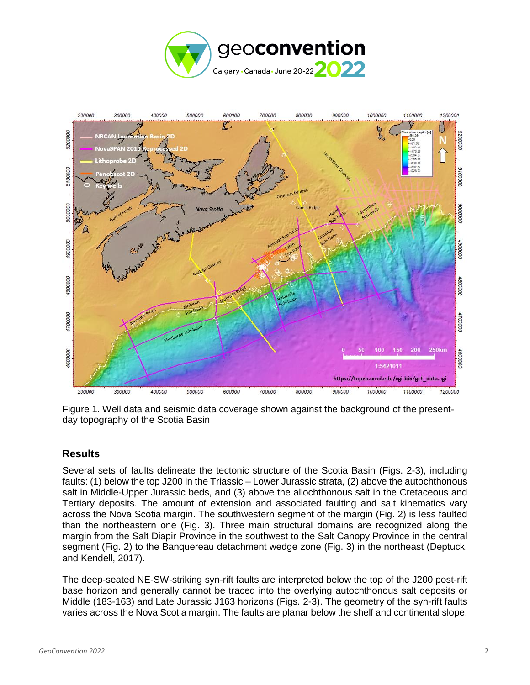



Figure 1. Well data and seismic data coverage shown against the background of the presentday topography of the Scotia Basin

# **Results**

Several sets of faults delineate the tectonic structure of the Scotia Basin (Figs. 2-3), including faults: (1) below the top J200 in the Triassic – Lower Jurassic strata, (2) above the autochthonous salt in Middle-Upper Jurassic beds, and (3) above the allochthonous salt in the Cretaceous and Tertiary deposits. The amount of extension and associated faulting and salt kinematics vary across the Nova Scotia margin. The southwestern segment of the margin (Fig. 2) is less faulted than the northeastern one (Fig. 3). Three main structural domains are recognized along the margin from the Salt Diapir Province in the southwest to the Salt Canopy Province in the central segment (Fig. 2) to the Banquereau detachment wedge zone (Fig. 3) in the northeast (Deptuck, and Kendell, 2017).

The deep-seated NE-SW-striking syn-rift faults are interpreted below the top of the J200 post-rift base horizon and generally cannot be traced into the overlying autochthonous salt deposits or Middle (183-163) and Late Jurassic J163 horizons (Figs. 2-3). The geometry of the syn-rift faults varies across the Nova Scotia margin. The faults are planar below the shelf and continental slope,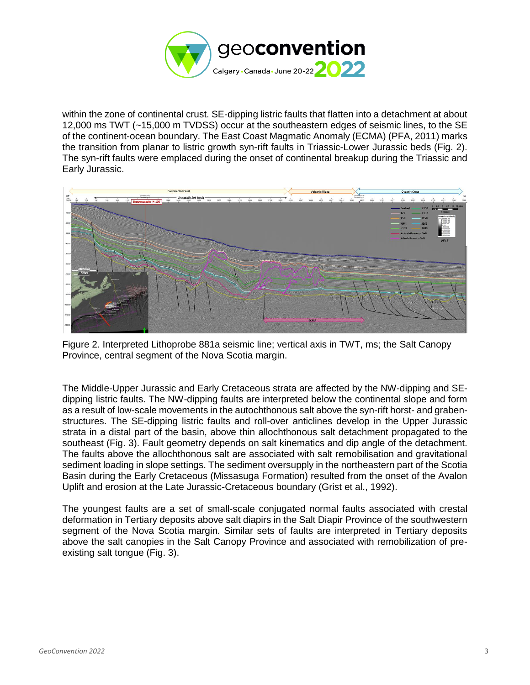

within the zone of continental crust. SE-dipping listric faults that flatten into a detachment at about 12,000 ms TWT (~15,000 m TVDSS) occur at the southeastern edges of seismic lines, to the SE of the continent-ocean boundary. The East Coast Magmatic Anomaly (ECMA) (PFA, 2011) marks the transition from planar to listric growth syn-rift faults in Triassic-Lower Jurassic beds (Fig. 2). The syn-rift faults were emplaced during the onset of continental breakup during the Triassic and Early Jurassic.



Figure 2. Interpreted Lithoprobe 881a seismic line; vertical axis in TWT, ms; the Salt Canopy Province, central segment of the Nova Scotia margin.

The Middle-Upper Jurassic and Early Cretaceous strata are affected by the NW-dipping and SEdipping listric faults. The NW-dipping faults are interpreted below the continental slope and form as a result of low-scale movements in the autochthonous salt above the syn-rift horst- and grabenstructures. The SE-dipping listric faults and roll-over anticlines develop in the Upper Jurassic strata in a distal part of the basin, above thin allochthonous salt detachment propagated to the southeast (Fig. 3). Fault geometry depends on salt kinematics and dip angle of the detachment. The faults above the allochthonous salt are associated with salt remobilisation and gravitational sediment loading in slope settings. The sediment oversupply in the northeastern part of the Scotia Basin during the Early Cretaceous (Missasuga Formation) resulted from the onset of the Avalon Uplift and erosion at the Late Jurassic-Cretaceous boundary (Grist et al., 1992).

The youngest faults are a set of small-scale conjugated normal faults associated with crestal deformation in Tertiary deposits above salt diapirs in the Salt Diapir Province of the southwestern segment of the Nova Scotia margin. Similar sets of faults are interpreted in Tertiary deposits above the salt canopies in the Salt Canopy Province and associated with remobilization of preexisting salt tongue (Fig. 3).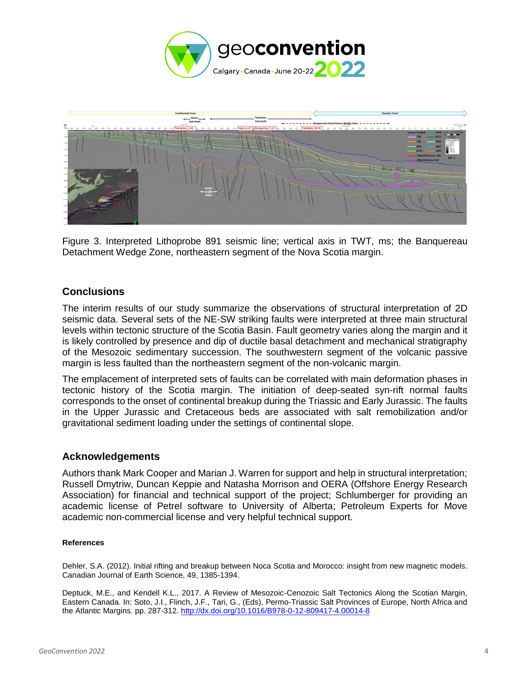



Figure 3. Interpreted Lithoprobe 891 seismic line; vertical axis in TWT, ms; the Banquereau Detachment Wedge Zone, northeastern segment of the Nova Scotia margin.

### **Conclusions**

The interim results of our study summarize the observations of structural interpretation of 2D seismic data. Several sets of the NE-SW striking faults were interpreted at three main structural levels within tectonic structure of the Scotia Basin. Fault geometry varies along the margin and it is likely controlled by presence and dip of ductile basal detachment and mechanical stratigraphy of the Mesozoic sedimentary succession. The southwestern segment of the volcanic passive margin is less faulted than the northeastern segment of the non-volcanic margin.

The emplacement of interpreted sets of faults can be correlated with main deformation phases in tectonic history of the Scotia margin. The initiation of deep-seated syn-rift normal faults corresponds to the onset of continental breakup during the Triassic and Early Jurassic. The faults in the Upper Jurassic and Cretaceous beds are associated with salt remobilization and/or gravitational sediment loading under the settings of continental slope.

#### **Acknowledgements**

Authors thank Mark Cooper and Marian J. Warren for support and help in structural interpretation; Russell Dmytriw, Duncan Keppie and Natasha Morrison and OERA (Offshore Energy Research Association) for financial and technical support of the project; Schlumberger for providing an academic license of Petrel software to University of Alberta; Petroleum Experts for Move academic non-commercial license and very helpful technical support.

#### **References**

Dehler, S.A. (2012). Initial rifting and breakup between Noca Scotia and Morocco: insight from new magnetic models. Canadian Journal of Earth Science, 49, 1385-1394.

Deptuck, M.E., and Kendell K.L., 2017. A Review of Mesozoic-Cenozoic Salt Tectonics Along the Scotian Margin, Eastern Canada. In: Soto, J.I., Flinch, J.F., Tari, G., (Eds), Permo-Triassic Salt Provinces of Europe, North Africa and the Atlantic Margins. pp. 287-312.<http://dx.doi.org/10.1016/B978-0-12-809417-4.00014-8>